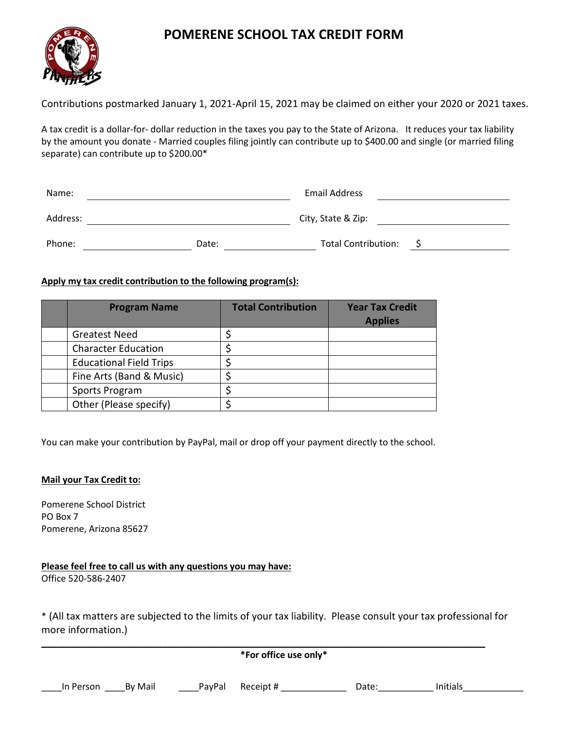### **POMERENE SCHOOL TAX CREDIT FORM**



Contributions postmarked January 1, 2021-April 15, 2021 may be claimed on either your 2020 or 2021 taxes.

A tax credit is a dollar-for- dollar reduction in the taxes you pay to the State of Arizona. It reduces your tax liability by the amount you donate - Married couples filing jointly can contribute up to \$400.00 and single (or married filing separate) can contribute up to \$200.00\*

| Name:    |       | <b>Email Address</b>       |  |  |
|----------|-------|----------------------------|--|--|
| Address: |       | City, State & Zip:         |  |  |
| Phone:   | Date: | <b>Total Contribution:</b> |  |  |

#### **Apply my tax credit contribution to the following program(s):**

| <b>Program Name</b>            | <b>Total Contribution</b> | <b>Year Tax Credit</b><br><b>Applies</b> |
|--------------------------------|---------------------------|------------------------------------------|
| <b>Greatest Need</b>           |                           |                                          |
| <b>Character Education</b>     |                           |                                          |
| <b>Educational Field Trips</b> |                           |                                          |
| Fine Arts (Band & Music)       |                           |                                          |
| Sports Program                 |                           |                                          |
| Other (Please specify)         |                           |                                          |

You can make your contribution by PayPal, mail or drop off your payment directly to the school.

#### **Mail your Tax Credit to:**

Pomerene School District PO Box 7 Pomerene, Arizona 85627

**Please feel free to call us with any questions you may have:** Office 520-586-2407

\* (All tax matters are subjected to the limits of your tax liability. Please consult your tax professional for more information.)

| *For office use only* |         |        |           |       |          |  |
|-----------------------|---------|--------|-----------|-------|----------|--|
| In Person             | By Mail | PayPal | Receipt # | Date: | Initials |  |